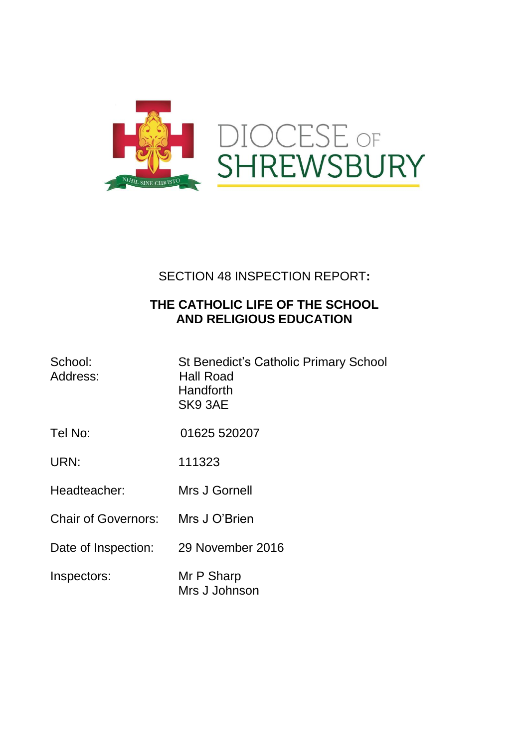

## SECTION 48 INSPECTION REPORT**:**

## **THE CATHOLIC LIFE OF THE SCHOOL AND RELIGIOUS EDUCATION**

| School:<br>Address:        | <b>St Benedict's Catholic Primary School</b><br>Hall Road<br>Handforth<br>SK9 3AE |
|----------------------------|-----------------------------------------------------------------------------------|
| Tel No:                    | 01625 520207                                                                      |
| URN:                       | 111323                                                                            |
| Headteacher:               | Mrs J Gornell                                                                     |
| <b>Chair of Governors:</b> | Mrs J O'Brien                                                                     |
| Date of Inspection:        | 29 November 2016                                                                  |
| Inspectors:                | Mr P Sharp<br>Mrs J Johnson                                                       |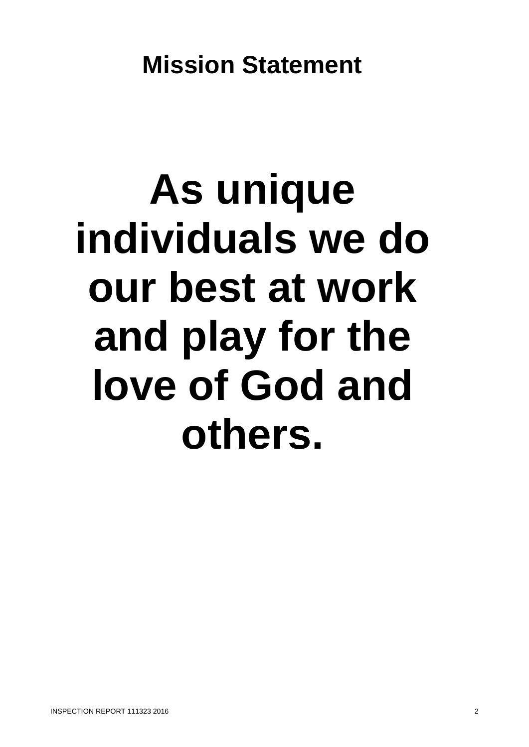# **As unique individuals we do our best at work and play for the love of God and others.**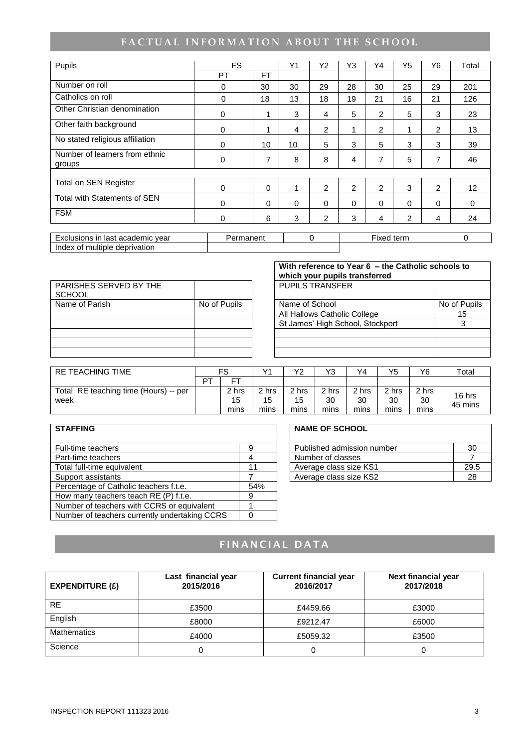# FACTUAL INFORMATION ABOUT THE SCHOOL

| Pupils                                   | <b>FS</b>                                           |           | Y1       | Y2       | Y3             | Y4 | Y5       | Y6       | Total       |
|------------------------------------------|-----------------------------------------------------|-----------|----------|----------|----------------|----|----------|----------|-------------|
|                                          | PT                                                  | <b>FT</b> |          |          |                |    |          |          |             |
| Number on roll                           | 0                                                   | 30        | 30       | 29       | 28             | 30 | 25       | 29       | 201         |
| Catholics on roll                        | 0                                                   | 18        | 13       | 18       | 19             | 21 | 16       | 21       | 126         |
| Other Christian denomination             | $\Omega$                                            | 1         | 3        | 4        | 5              | 2  | 5        | 3        | 23          |
| Other faith background                   | $\Omega$                                            |           | 4        | 2        | 1              | 2  |          | 2        | 13          |
| No stated religious affiliation          | $\Omega$                                            | 10        | 10       | 5        | 3              | 5  | 3        | 3        | 39          |
| Number of learners from ethnic<br>groups | $\mathbf 0$                                         | 7         | 8        | 8        | 4              | 7  | 5        | 7        | 46          |
|                                          |                                                     |           |          |          |                |    |          |          |             |
| <b>Total on SEN Register</b>             | $\Omega$                                            | $\Omega$  | 1        | 2        | $\overline{2}$ | 2  | 3        | 2        | 12          |
| Total with Statements of SEN             | $\Omega$                                            | $\Omega$  | $\Omega$ | $\Omega$ | $\Omega$       | 0  | $\Omega$ | $\Omega$ | $\mathbf 0$ |
| <b>FSM</b>                               | 0                                                   | 6         | 3        | 2        | 3              | 4  | 2        | 4        | 24          |
| Evaluaiana in laat aaadamia vaar         | $\Gamma$ ived term<br>$\sim$<br>Dermonant<br>$\sim$ |           |          |          |                |    |          |          |             |

| ∶ vear<br>Lxclusions in <sup>1</sup><br>academic<br>$-vr$<br>last | manen<br>$\sqrt{2}$ | term<br>ixed |  |
|-------------------------------------------------------------------|---------------------|--------------|--|
| deprivation<br>multiple<br>Index<br>Ωt                            |                     |              |  |

|              |                        | With reference to Year 6 - the Catholic schools to<br>which your pupils transferred |  |  |  |
|--------------|------------------------|-------------------------------------------------------------------------------------|--|--|--|
|              | <b>PUPILS TRANSFER</b> |                                                                                     |  |  |  |
| No of Pupils |                        | No of Pupils                                                                        |  |  |  |
|              |                        | 15                                                                                  |  |  |  |
|              |                        |                                                                                     |  |  |  |
|              |                        |                                                                                     |  |  |  |
|              |                        |                                                                                     |  |  |  |
|              |                        | Name of School<br>All Hallows Catholic College<br>St James' High School, Stockport  |  |  |  |

| RE TEACHING TIME                      |    | FS   |       | V2    | Y3    | Y4    | Y5    | Y6    | Total   |
|---------------------------------------|----|------|-------|-------|-------|-------|-------|-------|---------|
|                                       | DТ | ᇊ    |       |       |       |       |       |       |         |
| Total RE teaching time (Hours) -- per |    | hrs  | 2 hrs | 2 hrs | 2 hrs | 2 hrs | 2 hrs | 2 hrs | 16 hrs  |
| week                                  |    | 15   | 15    | 15    | 30    | 30    | 30    | 30    | 45 mins |
|                                       |    | mins | mins  | mins  | mins  | mins  | mins  | mins  |         |

| <b>STAFFING</b>                               |     | <b>NAME OF SCHOOL</b>      |      |
|-----------------------------------------------|-----|----------------------------|------|
| <b>Full-time teachers</b>                     | 9   | Published admission number | 30   |
| Part-time teachers                            |     | Number of classes          |      |
| Total full-time equivalent                    | 11  | Average class size KS1     | 29.5 |
| Support assistants                            |     | Average class size KS2     | 28   |
| Percentage of Catholic teachers f.t.e.        | 54% |                            |      |
| How many teachers teach RE (P) f.t.e.         | 9   |                            |      |
| Number of teachers with CCRS or equivalent    |     |                            |      |
| Number of teachers currently undertaking CCRS |     |                            |      |

#### **NAME OF SCHOOL**

| Published admission number |  |
|----------------------------|--|
| Number of classes          |  |
| Average class size KS1     |  |
| Average class size KS2     |  |

## **FINANCIAL DATA**

| EXPENDITURE $(E)$  | Last financial year<br>2015/2016 | <b>Current financial year</b><br>2016/2017 | Next financial year<br>2017/2018 |
|--------------------|----------------------------------|--------------------------------------------|----------------------------------|
| <b>RE</b>          | £3500                            | £4459.66                                   | £3000                            |
| English            | £8000                            | £9212.47                                   | £6000                            |
| <b>Mathematics</b> | £4000                            | £5059.32                                   | £3500                            |
| Science            |                                  |                                            |                                  |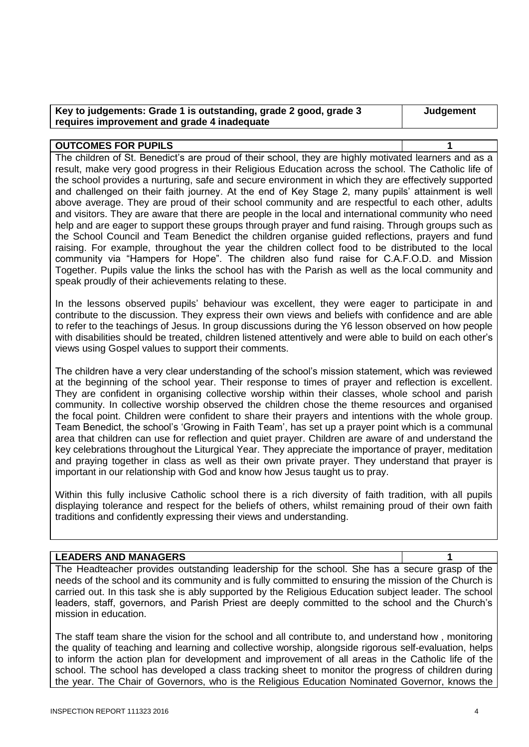| Key to judgements: Grade 1 is outstanding, grade 2 good, grade 3 | Judger |
|------------------------------------------------------------------|--------|
| requires improvement and grade 4 inadequate                      |        |

#### **OUTCOMES FOR PUPILS 1**

The children of St. Benedict's are proud of their school, they are highly motivated learners and as a result, make very good progress in their Religious Education across the school. The Catholic life of the school provides a nurturing, safe and secure environment in which they are effectively supported and challenged on their faith journey. At the end of Key Stage 2, many pupils' attainment is well above average. They are proud of their school community and are respectful to each other, adults and visitors. They are aware that there are people in the local and international community who need help and are eager to support these groups through prayer and fund raising. Through groups such as the School Council and Team Benedict the children organise guided reflections, prayers and fund raising. For example, throughout the year the children collect food to be distributed to the local community via "Hampers for Hope". The children also fund raise for C.A.F.O.D. and Mission Together. Pupils value the links the school has with the Parish as well as the local community and speak proudly of their achievements relating to these.

In the lessons observed pupils' behaviour was excellent, they were eager to participate in and contribute to the discussion. They express their own views and beliefs with confidence and are able to refer to the teachings of Jesus. In group discussions during the Y6 lesson observed on how people with disabilities should be treated, children listened attentively and were able to build on each other's views using Gospel values to support their comments.

The children have a very clear understanding of the school's mission statement, which was reviewed at the beginning of the school year. Their response to times of prayer and reflection is excellent. They are confident in organising collective worship within their classes, whole school and parish community. In collective worship observed the children chose the theme resources and organised the focal point. Children were confident to share their prayers and intentions with the whole group. Team Benedict, the school's 'Growing in Faith Team', has set up a prayer point which is a communal area that children can use for reflection and quiet prayer. Children are aware of and understand the key celebrations throughout the Liturgical Year. They appreciate the importance of prayer, meditation and praying together in class as well as their own private prayer. They understand that prayer is important in our relationship with God and know how Jesus taught us to pray.

Within this fully inclusive Catholic school there is a rich diversity of faith tradition, with all pupils displaying tolerance and respect for the beliefs of others, whilst remaining proud of their own faith traditions and confidently expressing their views and understanding.

#### **LEADERS AND MANAGERS 1**

The Headteacher provides outstanding leadership for the school. She has a secure grasp of the needs of the school and its community and is fully committed to ensuring the mission of the Church is carried out. In this task she is ably supported by the Religious Education subject leader. The school leaders, staff, governors, and Parish Priest are deeply committed to the school and the Church's mission in education.

The staff team share the vision for the school and all contribute to, and understand how , monitoring the quality of teaching and learning and collective worship, alongside rigorous self-evaluation, helps to inform the action plan for development and improvement of all areas in the Catholic life of the school. The school has developed a class tracking sheet to monitor the progress of children during the year. The Chair of Governors, who is the Religious Education Nominated Governor, knows the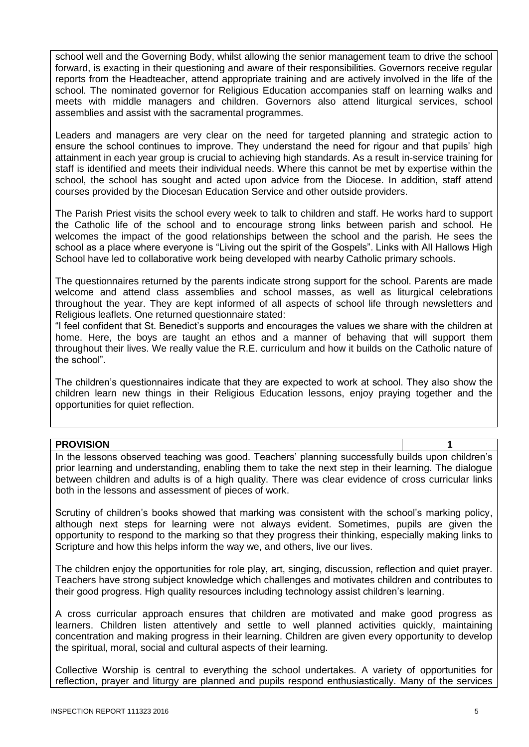school well and the Governing Body, whilst allowing the senior management team to drive the school forward, is exacting in their questioning and aware of their responsibilities. Governors receive regular reports from the Headteacher, attend appropriate training and are actively involved in the life of the school. The nominated governor for Religious Education accompanies staff on learning walks and meets with middle managers and children. Governors also attend liturgical services, school assemblies and assist with the sacramental programmes.

Leaders and managers are very clear on the need for targeted planning and strategic action to ensure the school continues to improve. They understand the need for rigour and that pupils' high attainment in each year group is crucial to achieving high standards. As a result in-service training for staff is identified and meets their individual needs. Where this cannot be met by expertise within the school, the school has sought and acted upon advice from the Diocese. In addition, staff attend courses provided by the Diocesan Education Service and other outside providers.

The Parish Priest visits the school every week to talk to children and staff. He works hard to support the Catholic life of the school and to encourage strong links between parish and school. He welcomes the impact of the good relationships between the school and the parish. He sees the school as a place where everyone is "Living out the spirit of the Gospels". Links with All Hallows High School have led to collaborative work being developed with nearby Catholic primary schools.

The questionnaires returned by the parents indicate strong support for the school. Parents are made welcome and attend class assemblies and school masses, as well as liturgical celebrations throughout the year. They are kept informed of all aspects of school life through newsletters and Religious leaflets. One returned questionnaire stated:

"I feel confident that St. Benedict's supports and encourages the values we share with the children at home. Here, the boys are taught an ethos and a manner of behaving that will support them throughout their lives. We really value the R.E. curriculum and how it builds on the Catholic nature of the school".

The children's questionnaires indicate that they are expected to work at school. They also show the children learn new things in their Religious Education lessons, enjoy praying together and the opportunities for quiet reflection.

#### **PROVISION 1**

In the lessons observed teaching was good. Teachers' planning successfully builds upon children's prior learning and understanding, enabling them to take the next step in their learning. The dialogue between children and adults is of a high quality. There was clear evidence of cross curricular links both in the lessons and assessment of pieces of work.

Scrutiny of children's books showed that marking was consistent with the school's marking policy, although next steps for learning were not always evident. Sometimes, pupils are given the opportunity to respond to the marking so that they progress their thinking, especially making links to Scripture and how this helps inform the way we, and others, live our lives.

The children enjoy the opportunities for role play, art, singing, discussion, reflection and quiet prayer. Teachers have strong subject knowledge which challenges and motivates children and contributes to their good progress. High quality resources including technology assist children's learning.

A cross curricular approach ensures that children are motivated and make good progress as learners. Children listen attentively and settle to well planned activities quickly, maintaining concentration and making progress in their learning. Children are given every opportunity to develop the spiritual, moral, social and cultural aspects of their learning.

Collective Worship is central to everything the school undertakes. A variety of opportunities for reflection, prayer and liturgy are planned and pupils respond enthusiastically. Many of the services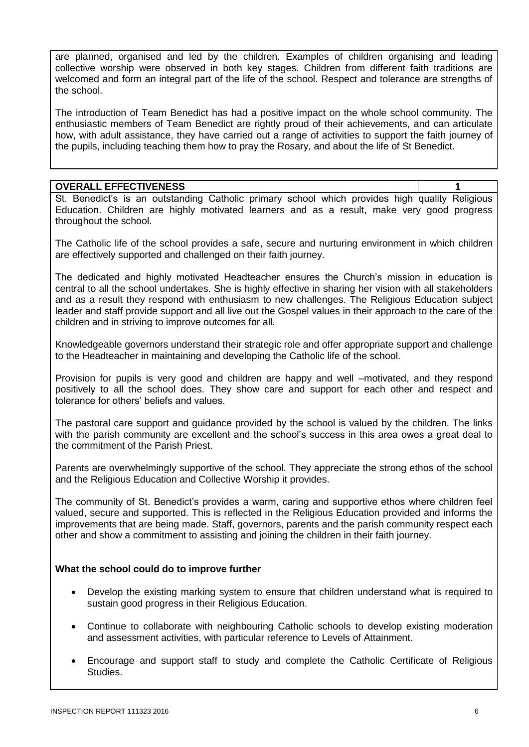are planned, organised and led by the children. Examples of children organising and leading collective worship were observed in both key stages. Children from different faith traditions are welcomed and form an integral part of the life of the school. Respect and tolerance are strengths of the school.

The introduction of Team Benedict has had a positive impact on the whole school community. The enthusiastic members of Team Benedict are rightly proud of their achievements, and can articulate how, with adult assistance, they have carried out a range of activities to support the faith journey of the pupils, including teaching them how to pray the Rosary, and about the life of St Benedict.

#### **OVERALL EFFECTIVENESS 1**

St. Benedict's is an outstanding Catholic primary school which provides high quality Religious Education. Children are highly motivated learners and as a result, make very good progress throughout the school.

The Catholic life of the school provides a safe, secure and nurturing environment in which children are effectively supported and challenged on their faith journey.

The dedicated and highly motivated Headteacher ensures the Church's mission in education is central to all the school undertakes. She is highly effective in sharing her vision with all stakeholders and as a result they respond with enthusiasm to new challenges. The Religious Education subject leader and staff provide support and all live out the Gospel values in their approach to the care of the children and in striving to improve outcomes for all.

Knowledgeable governors understand their strategic role and offer appropriate support and challenge to the Headteacher in maintaining and developing the Catholic life of the school.

Provision for pupils is very good and children are happy and well –motivated, and they respond positively to all the school does. They show care and support for each other and respect and tolerance for others' beliefs and values.

The pastoral care support and guidance provided by the school is valued by the children. The links with the parish community are excellent and the school's success in this area owes a great deal to the commitment of the Parish Priest.

Parents are overwhelmingly supportive of the school. They appreciate the strong ethos of the school and the Religious Education and Collective Worship it provides.

The community of St. Benedict's provides a warm, caring and supportive ethos where children feel valued, secure and supported. This is reflected in the Religious Education provided and informs the improvements that are being made. Staff, governors, parents and the parish community respect each other and show a commitment to assisting and joining the children in their faith journey.

#### **What the school could do to improve further**

- Develop the existing marking system to ensure that children understand what is required to sustain good progress in their Religious Education.
- Continue to collaborate with neighbouring Catholic schools to develop existing moderation and assessment activities, with particular reference to Levels of Attainment.
- Encourage and support staff to study and complete the Catholic Certificate of Religious Studies.